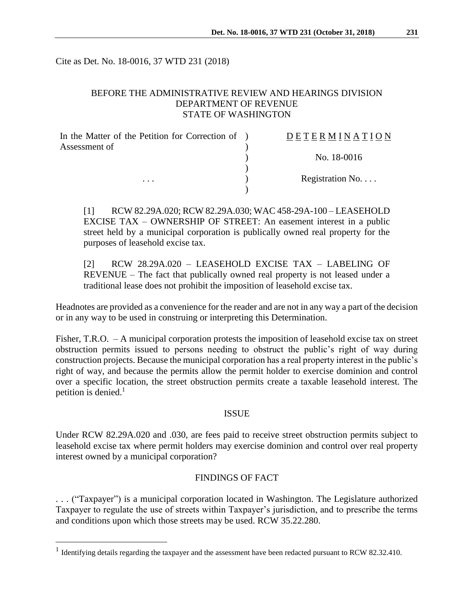Cite as Det. No. 18-0016, 37 WTD 231 (2018)

## BEFORE THE ADMINISTRATIVE REVIEW AND HEARINGS DIVISION DEPARTMENT OF REVENUE STATE OF WASHINGTON

| In the Matter of the Petition for Correction of ) | DETERMINATION   |
|---------------------------------------------------|-----------------|
| Assessment of                                     |                 |
|                                                   | No. 18-0016     |
|                                                   |                 |
| $\cdots$                                          | Registration No |
|                                                   |                 |

[1] RCW 82.29A.020; RCW 82.29A.030; WAC 458-29A-100 – LEASEHOLD EXCISE TAX – OWNERSHIP OF STREET: An easement interest in a public street held by a municipal corporation is publically owned real property for the purposes of leasehold excise tax.

[2] RCW 28.29A.020 – LEASEHOLD EXCISE TAX – LABELING OF REVENUE – The fact that publically owned real property is not leased under a traditional lease does not prohibit the imposition of leasehold excise tax.

Headnotes are provided as a convenience for the reader and are not in any way a part of the decision or in any way to be used in construing or interpreting this Determination.

Fisher, T.R.O. – A municipal corporation protests the imposition of leasehold excise tax on street obstruction permits issued to persons needing to obstruct the public's right of way during construction projects. Because the municipal corporation has a real property interest in the public's right of way, and because the permits allow the permit holder to exercise dominion and control over a specific location, the street obstruction permits create a taxable leasehold interest. The petition is denied. $<sup>1</sup>$ </sup>

#### ISSUE

Under RCW 82.29A.020 and .030, are fees paid to receive street obstruction permits subject to leasehold excise tax where permit holders may exercise dominion and control over real property interest owned by a municipal corporation?

## FINDINGS OF FACT

. . . ("Taxpayer") is a municipal corporation located in Washington. The Legislature authorized Taxpayer to regulate the use of streets within Taxpayer's jurisdiction, and to prescribe the terms and conditions upon which those streets may be used. RCW 35.22.280.

 $\overline{a}$ 

<sup>&</sup>lt;sup>1</sup> Identifying details regarding the taxpayer and the assessment have been redacted pursuant to RCW 82.32.410.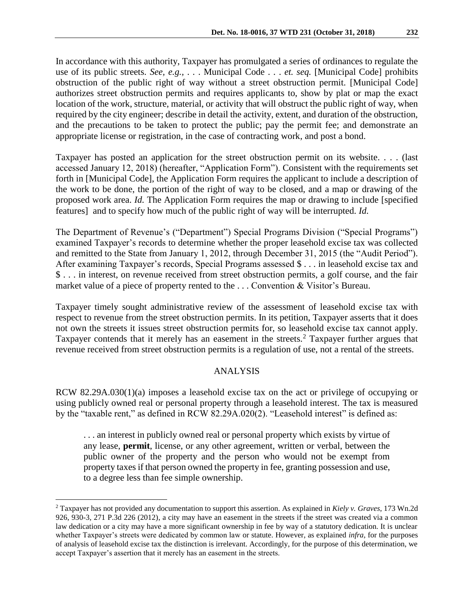In accordance with this authority, Taxpayer has promulgated a series of ordinances to regulate the use of its public streets. *See, e.g.,* . . . Municipal Code . . . *et. seq.* [Municipal Code] prohibits obstruction of the public right of way without a street obstruction permit. [Municipal Code] authorizes street obstruction permits and requires applicants to, show by plat or map the exact location of the work, structure, material, or activity that will obstruct the public right of way, when required by the city engineer; describe in detail the activity, extent, and duration of the obstruction, and the precautions to be taken to protect the public; pay the permit fee; and demonstrate an appropriate license or registration, in the case of contracting work, and post a bond.

Taxpayer has posted an application for the street obstruction permit on its website. . . . (last accessed January 12, 2018) (hereafter, "Application Form"). Consistent with the requirements set forth in [Municipal Code], the Application Form requires the applicant to include a description of the work to be done, the portion of the right of way to be closed, and a map or drawing of the proposed work area. *Id.* The Application Form requires the map or drawing to include [specified features] and to specify how much of the public right of way will be interrupted. *Id.*

The Department of Revenue's ("Department") Special Programs Division ("Special Programs") examined Taxpayer's records to determine whether the proper leasehold excise tax was collected and remitted to the State from January 1, 2012, through December 31, 2015 (the "Audit Period"). After examining Taxpayer's records, Special Programs assessed \$ . . . in leasehold excise tax and \$ . . . in interest, on revenue received from street obstruction permits, a golf course, and the fair market value of a piece of property rented to the . . . Convention & Visitor's Bureau.

Taxpayer timely sought administrative review of the assessment of leasehold excise tax with respect to revenue from the street obstruction permits. In its petition, Taxpayer asserts that it does not own the streets it issues street obstruction permits for, so leasehold excise tax cannot apply. Taxpayer contends that it merely has an easement in the streets.<sup>2</sup> Taxpayer further argues that revenue received from street obstruction permits is a regulation of use, not a rental of the streets.

### ANALYSIS

RCW 82.29A.030(1)(a) imposes a leasehold excise tax on the act or privilege of occupying or using publicly owned real or personal property through a leasehold interest. The tax is measured by the "taxable rent," as defined in RCW 82.29A.020(2). "Leasehold interest" is defined as:

. . . an interest in publicly owned real or personal property which exists by virtue of any lease, **permit**, license, or any other agreement, written or verbal, between the public owner of the property and the person who would not be exempt from property taxes if that person owned the property in fee, granting possession and use, to a degree less than fee simple ownership.

 $\overline{a}$ 

<sup>2</sup> Taxpayer has not provided any documentation to support this assertion. As explained in *Kiely v. Graves*, 173 Wn.2d 926, 930-3, 271 P.3d 226 (2012), a city may have an easement in the streets if the street was created via a common law dedication or a city may have a more significant ownership in fee by way of a statutory dedication. It is unclear whether Taxpayer's streets were dedicated by common law or statute. However, as explained *infra*, for the purposes of analysis of leasehold excise tax the distinction is irrelevant. Accordingly, for the purpose of this determination, we accept Taxpayer's assertion that it merely has an easement in the streets.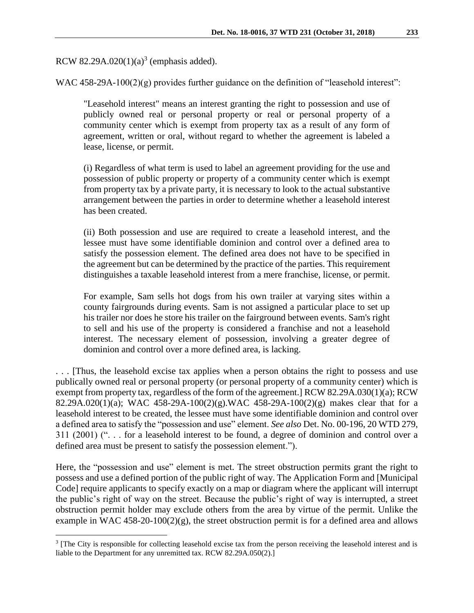RCW 82.29A.020 $(1)(a)^3$  (emphasis added).

 $\overline{a}$ 

WAC 458-29A-100(2)(g) provides further guidance on the definition of "leasehold interest":

"Leasehold interest" means an interest granting the right to possession and use of publicly owned real or personal property or real or personal property of a community center which is exempt from property tax as a result of any form of agreement, written or oral, without regard to whether the agreement is labeled a lease, license, or permit.

(i) Regardless of what term is used to label an agreement providing for the use and possession of public property or property of a community center which is exempt from property tax by a private party, it is necessary to look to the actual substantive arrangement between the parties in order to determine whether a leasehold interest has been created.

(ii) Both possession and use are required to create a leasehold interest, and the lessee must have some identifiable dominion and control over a defined area to satisfy the possession element. The defined area does not have to be specified in the agreement but can be determined by the practice of the parties. This requirement distinguishes a taxable leasehold interest from a mere franchise, license, or permit.

For example, Sam sells hot dogs from his own trailer at varying sites within a county fairgrounds during events. Sam is not assigned a particular place to set up his trailer nor does he store his trailer on the fairground between events. Sam's right to sell and his use of the property is considered a franchise and not a leasehold interest. The necessary element of possession, involving a greater degree of dominion and control over a more defined area, is lacking.

. . . [Thus, the leasehold excise tax applies when a person obtains the right to possess and use publically owned real or personal property (or personal property of a community center) which is exempt from property tax, regardless of the form of the agreement.] RCW 82.29A.030(1)(a); RCW 82.29A.020(1)(a); WAC 458-29A-100(2)(g).WAC 458-29A-100(2)(g) makes clear that for a leasehold interest to be created, the lessee must have some identifiable dominion and control over a defined area to satisfy the "possession and use" element. *See also* Det. No. 00-196, 20 WTD 279, 311 (2001) (". . . for a leasehold interest to be found, a degree of dominion and control over a defined area must be present to satisfy the possession element.").

Here, the "possession and use" element is met. The street obstruction permits grant the right to possess and use a defined portion of the public right of way. The Application Form and [Municipal Code] require applicants to specify exactly on a map or diagram where the applicant will interrupt the public's right of way on the street. Because the public's right of way is interrupted, a street obstruction permit holder may exclude others from the area by virtue of the permit. Unlike the example in WAC 458-20-100(2)(g), the street obstruction permit is for a defined area and allows

<sup>&</sup>lt;sup>3</sup> [The City is responsible for collecting leasehold excise tax from the person receiving the leasehold interest and is liable to the Department for any unremitted tax. RCW 82.29A.050(2).]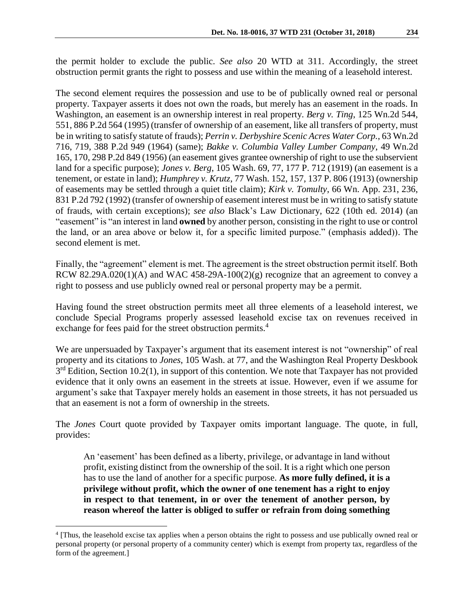the permit holder to exclude the public. *See also* 20 WTD at 311. Accordingly, the street obstruction permit grants the right to possess and use within the meaning of a leasehold interest.

The second element requires the possession and use to be of publically owned real or personal property. Taxpayer asserts it does not own the roads, but merely has an easement in the roads. In Washington, an easement is an ownership interest in real property*. Berg v. Ting*, 125 Wn.2d 544, 551, 886 P.2d 564 (1995) (transfer of ownership of an easement, like all transfers of property, must be in writing to satisfy statute of frauds); *Perrin v. Derbyshire Scenic Acres Water Corp.*, 63 Wn.2d 716, 719, 388 P.2d 949 (1964) (same); *Bakke v. Columbia Valley Lumber Company*, 49 Wn.2d 165, 170, 298 P.2d 849 (1956) (an easement gives grantee ownership of right to use the subservient land for a specific purpose); *Jones v. Berg*, 105 Wash. 69, 77, 177 P. 712 (1919) (an easement is a tenement, or estate in land); *Humphrey v. Krutz*, 77 Wash. 152, 157, 137 P. 806 (1913) (ownership of easements may be settled through a quiet title claim); *Kirk v. Tomulty*, 66 Wn. App. 231, 236, 831 P.2d 792 (1992) (transfer of ownership of easement interest must be in writing to satisfy statute of frauds, with certain exceptions); *see also* Black's Law Dictionary, 622 (10th ed. 2014) (an "easement" is "an interest in land **owned** by another person, consisting in the right to use or control the land, or an area above or below it, for a specific limited purpose." (emphasis added)). The second element is met.

Finally, the "agreement" element is met. The agreement is the street obstruction permit itself. Both RCW 82.29A.020(1)(A) and WAC 458-29A-100(2)(g) recognize that an agreement to convey a right to possess and use publicly owned real or personal property may be a permit.

Having found the street obstruction permits meet all three elements of a leasehold interest, we conclude Special Programs properly assessed leasehold excise tax on revenues received in exchange for fees paid for the street obstruction permits.<sup>4</sup>

We are unpersuaded by Taxpayer's argument that its easement interest is not "ownership" of real property and its citations to *Jones*, 105 Wash. at 77, and the Washington Real Property Deskbook  $3<sup>rd</sup>$  Edition, Section 10.2(1), in support of this contention. We note that Taxpayer has not provided evidence that it only owns an easement in the streets at issue. However, even if we assume for argument's sake that Taxpayer merely holds an easement in those streets, it has not persuaded us that an easement is not a form of ownership in the streets.

The *Jones* Court quote provided by Taxpayer omits important language. The quote, in full, provides:

An 'easement' has been defined as a liberty, privilege, or advantage in land without profit, existing distinct from the ownership of the soil. It is a right which one person has to use the land of another for a specific purpose. **As more fully defined, it is a privilege without profit, which the owner of one tenement has a right to enjoy in respect to that tenement, in or over the tenement of another person, by reason whereof the latter is obliged to suffer or refrain from doing something** 

 $\overline{a}$ 

<sup>4</sup> [Thus, the leasehold excise tax applies when a person obtains the right to possess and use publically owned real or personal property (or personal property of a community center) which is exempt from property tax, regardless of the form of the agreement.]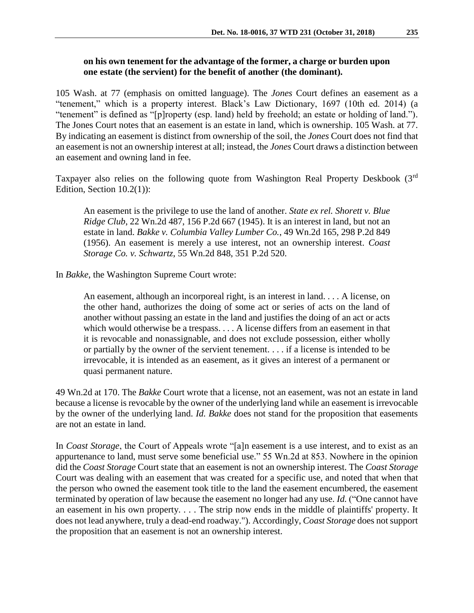## **on his own tenement for the advantage of the former, a charge or burden upon one estate (the servient) for the benefit of another (the dominant).**

105 Wash. at 77 (emphasis on omitted language). The *Jones* Court defines an easement as a "tenement," which is a property interest. Black's Law Dictionary, 1697 (10th ed. 2014) (a "tenement" is defined as "[p]roperty (esp. land) held by freehold; an estate or holding of land."). The Jones Court notes that an easement is an estate in land, which is ownership. 105 Wash. at 77. By indicating an easement is distinct from ownership of the soil, the *Jones* Court does not find that an easement is not an ownership interest at all; instead, the *Jones* Court draws a distinction between an easement and owning land in fee.

Taxpayer also relies on the following quote from Washington Real Property Deskbook (3rd) Edition, Section 10.2(1)):

An easement is the privilege to use the land of another. *State ex rel. Shorett v. Blue Ridge Club*, 22 Wn.2d 487, 156 P.2d 667 (1945). It is an interest in land, but not an estate in land. *Bakke v. Columbia Valley Lumber Co.*, 49 Wn.2d 165, 298 P.2d 849 (1956). An easement is merely a use interest, not an ownership interest. *Coast Storage Co. v. Schwartz*, 55 Wn.2d 848, 351 P.2d 520.

In *Bakke*, the Washington Supreme Court wrote:

An easement, although an incorporeal right, is an interest in land. . . . A license, on the other hand, authorizes the doing of some act or series of acts on the land of another without passing an estate in the land and justifies the doing of an act or acts which would otherwise be a trespass. . . . A license differs from an easement in that it is revocable and nonassignable, and does not exclude possession, either wholly or partially by the owner of the servient tenement. . . . if a license is intended to be irrevocable, it is intended as an easement, as it gives an interest of a permanent or quasi permanent nature.

49 Wn.2d at 170. The *Bakke* Court wrote that a license, not an easement, was not an estate in land because a license is revocable by the owner of the underlying land while an easement is irrevocable by the owner of the underlying land. *Id. Bakke* does not stand for the proposition that easements are not an estate in land.

In *Coast Storage*, the Court of Appeals wrote "[a]n easement is a use interest, and to exist as an appurtenance to land, must serve some beneficial use." 55 Wn.2d at 853. Nowhere in the opinion did the *Coast Storage* Court state that an easement is not an ownership interest. The *Coast Storage* Court was dealing with an easement that was created for a specific use, and noted that when that the person who owned the easement took title to the land the easement encumbered, the easement terminated by operation of law because the easement no longer had any use. *Id.* ("One cannot have an easement in his own property. . . . The strip now ends in the middle of plaintiffs' property. It does not lead anywhere, truly a dead-end roadway."). Accordingly, *Coast Storage* does not support the proposition that an easement is not an ownership interest.